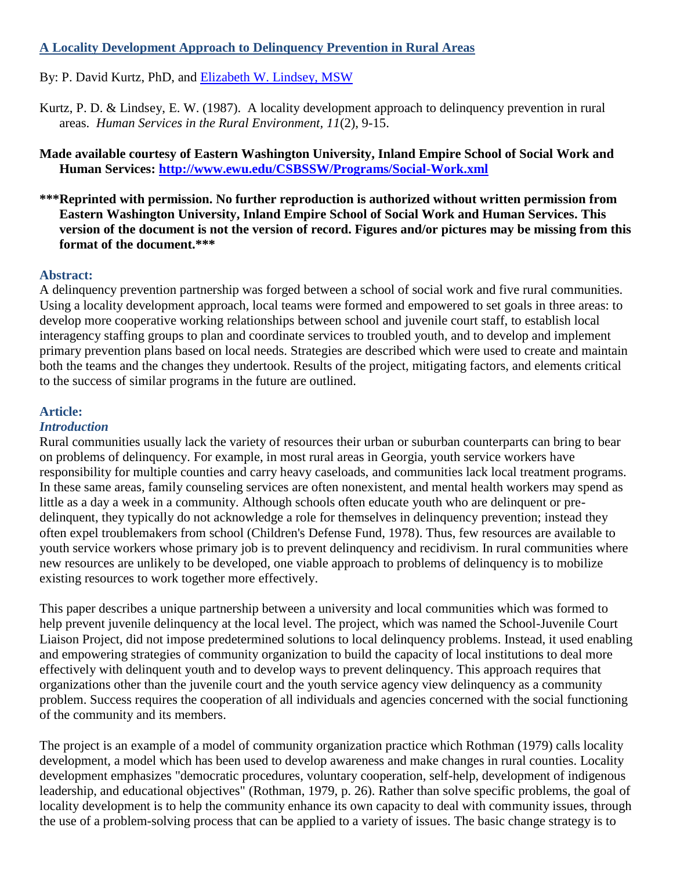# **A Locality Development Approach to Delinquency Prevention in Rural Areas**

By: P. David Kurtz, PhD, and [Elizabeth W. Lindsey, MSW](http://libres.uncg.edu/ir/uncg/clist.aspx?id=1286)

Kurtz, P. D. & Lindsey, E. W. (1987). A locality development approach to delinquency prevention in rural areas. *Human Services in the Rural Environment, 11*(2), 9-15.

**Made available courtesy of Eastern Washington University, Inland Empire School of Social Work and Human Services:<http://www.ewu.edu/CSBSSW/Programs/Social-Work.xml>**

**\*\*\*Reprinted with permission. No further reproduction is authorized without written permission from Eastern Washington University, Inland Empire School of Social Work and Human Services. This version of the document is not the version of record. Figures and/or pictures may be missing from this format of the document.\*\*\***

## **Abstract:**

A delinquency prevention partnership was forged between a school of social work and five rural communities. Using a locality development approach, local teams were formed and empowered to set goals in three areas: to develop more cooperative working relationships between school and juvenile court staff, to establish local interagency staffing groups to plan and coordinate services to troubled youth, and to develop and implement primary prevention plans based on local needs. Strategies are described which were used to create and maintain both the teams and the changes they undertook. Results of the project, mitigating factors, and elements critical to the success of similar programs in the future are outlined.

## **Article:**

## *Introduction*

Rural communities usually lack the variety of resources their urban or suburban counterparts can bring to bear on problems of delinquency. For example, in most rural areas in Georgia, youth service workers have responsibility for multiple counties and carry heavy caseloads, and communities lack local treatment programs. In these same areas, family counseling services are often nonexistent, and mental health workers may spend as little as a day a week in a community. Although schools often educate youth who are delinquent or predelinquent, they typically do not acknowledge a role for themselves in delinquency prevention; instead they often expel troublemakers from school (Children's Defense Fund, 1978). Thus, few resources are available to youth service workers whose primary job is to prevent delinquency and recidivism. In rural communities where new resources are unlikely to be developed, one viable approach to problems of delinquency is to mobilize existing resources to work together more effectively.

This paper describes a unique partnership between a university and local communities which was formed to help prevent juvenile delinquency at the local level. The project, which was named the School-Juvenile Court Liaison Project, did not impose predetermined solutions to local delinquency problems. Instead, it used enabling and empowering strategies of community organization to build the capacity of local institutions to deal more effectively with delinquent youth and to develop ways to prevent delinquency. This approach requires that organizations other than the juvenile court and the youth service agency view delinquency as a community problem. Success requires the cooperation of all individuals and agencies concerned with the social functioning of the community and its members.

The project is an example of a model of community organization practice which Rothman (1979) calls locality development, a model which has been used to develop awareness and make changes in rural counties. Locality development emphasizes "democratic procedures, voluntary cooperation, self-help, development of indigenous leadership, and educational objectives" (Rothman, 1979, p. 26). Rather than solve specific problems, the goal of locality development is to help the community enhance its own capacity to deal with community issues, through the use of a problem-solving process that can be applied to a variety of issues. The basic change strategy is to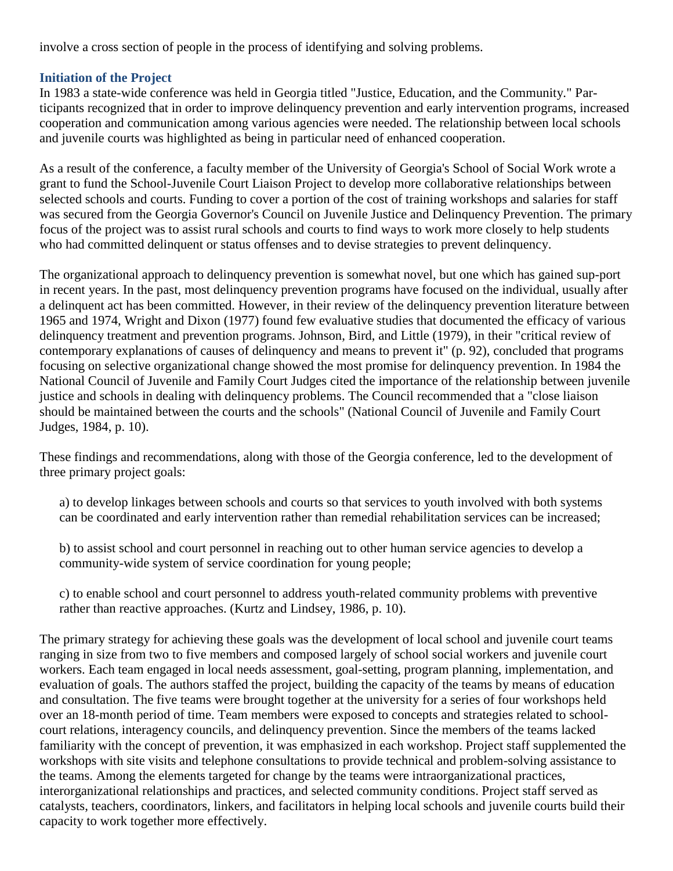involve a cross section of people in the process of identifying and solving problems.

#### **Initiation of the Project**

In 1983 a state-wide conference was held in Georgia titled "Justice, Education, and the Community." Participants recognized that in order to improve delinquency prevention and early intervention programs, increased cooperation and communication among various agencies were needed. The relationship between local schools and juvenile courts was highlighted as being in particular need of enhanced cooperation.

As a result of the conference, a faculty member of the University of Georgia's School of Social Work wrote a grant to fund the School-Juvenile Court Liaison Project to develop more collaborative relationships between selected schools and courts. Funding to cover a portion of the cost of training workshops and salaries for staff was secured from the Georgia Governor's Council on Juvenile Justice and Delinquency Prevention. The primary focus of the project was to assist rural schools and courts to find ways to work more closely to help students who had committed delinquent or status offenses and to devise strategies to prevent delinquency.

The organizational approach to delinquency prevention is somewhat novel, but one which has gained sup-port in recent years. In the past, most delinquency prevention programs have focused on the individual, usually after a delinquent act has been committed. However, in their review of the delinquency prevention literature between 1965 and 1974, Wright and Dixon (1977) found few evaluative studies that documented the efficacy of various delinquency treatment and prevention programs. Johnson, Bird, and Little (1979), in their "critical review of contemporary explanations of causes of delinquency and means to prevent it" (p. 92), concluded that programs focusing on selective organizational change showed the most promise for delinquency prevention. In 1984 the National Council of Juvenile and Family Court Judges cited the importance of the relationship between juvenile justice and schools in dealing with delinquency problems. The Council recommended that a "close liaison should be maintained between the courts and the schools" (National Council of Juvenile and Family Court Judges, 1984, p. 10).

These findings and recommendations, along with those of the Georgia conference, led to the development of three primary project goals:

- a) to develop linkages between schools and courts so that services to youth involved with both systems can be coordinated and early intervention rather than remedial rehabilitation services can be increased;
- b) to assist school and court personnel in reaching out to other human service agencies to develop a community-wide system of service coordination for young people;

c) to enable school and court personnel to address youth-related community problems with preventive rather than reactive approaches. (Kurtz and Lindsey, 1986, p. 10).

The primary strategy for achieving these goals was the development of local school and juvenile court teams ranging in size from two to five members and composed largely of school social workers and juvenile court workers. Each team engaged in local needs assessment, goal-setting, program planning, implementation, and evaluation of goals. The authors staffed the project, building the capacity of the teams by means of education and consultation. The five teams were brought together at the university for a series of four workshops held over an 18-month period of time. Team members were exposed to concepts and strategies related to schoolcourt relations, interagency councils, and delinquency prevention. Since the members of the teams lacked familiarity with the concept of prevention, it was emphasized in each workshop. Project staff supplemented the workshops with site visits and telephone consultations to provide technical and problem-solving assistance to the teams. Among the elements targeted for change by the teams were intraorganizational practices, interorganizational relationships and practices, and selected community conditions. Project staff served as catalysts, teachers, coordinators, linkers, and facilitators in helping local schools and juvenile courts build their capacity to work together more effectively.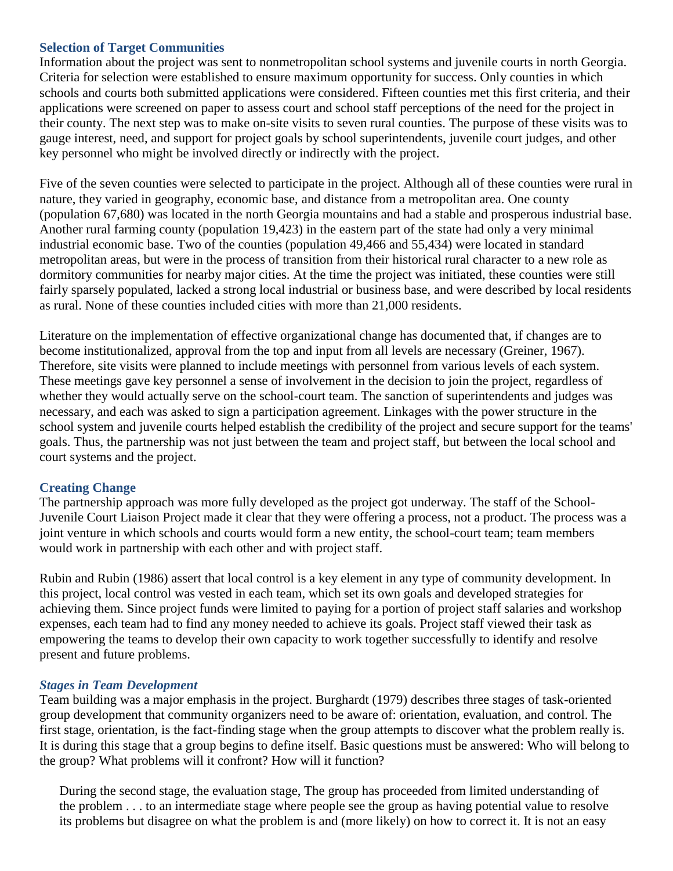#### **Selection of Target Communities**

Information about the project was sent to nonmetropolitan school systems and juvenile courts in north Georgia. Criteria for selection were established to ensure maximum opportunity for success. Only counties in which schools and courts both submitted applications were considered. Fifteen counties met this first criteria, and their applications were screened on paper to assess court and school staff perceptions of the need for the project in their county. The next step was to make on-site visits to seven rural counties. The purpose of these visits was to gauge interest, need, and support for project goals by school superintendents, juvenile court judges, and other key personnel who might be involved directly or indirectly with the project.

Five of the seven counties were selected to participate in the project. Although all of these counties were rural in nature, they varied in geography, economic base, and distance from a metropolitan area. One county (population 67,680) was located in the north Georgia mountains and had a stable and prosperous industrial base. Another rural farming county (population 19,423) in the eastern part of the state had only a very minimal industrial economic base. Two of the counties (population 49,466 and 55,434) were located in standard metropolitan areas, but were in the process of transition from their historical rural character to a new role as dormitory communities for nearby major cities. At the time the project was initiated, these counties were still fairly sparsely populated, lacked a strong local industrial or business base, and were described by local residents as rural. None of these counties included cities with more than 21,000 residents.

Literature on the implementation of effective organizational change has documented that, if changes are to become institutionalized, approval from the top and input from all levels are necessary (Greiner, 1967). Therefore, site visits were planned to include meetings with personnel from various levels of each system. These meetings gave key personnel a sense of involvement in the decision to join the project, regardless of whether they would actually serve on the school-court team. The sanction of superintendents and judges was necessary, and each was asked to sign a participation agreement. Linkages with the power structure in the school system and juvenile courts helped establish the credibility of the project and secure support for the teams' goals. Thus, the partnership was not just between the team and project staff, but between the local school and court systems and the project.

## **Creating Change**

The partnership approach was more fully developed as the project got underway. The staff of the School-Juvenile Court Liaison Project made it clear that they were offering a process, not a product. The process was a joint venture in which schools and courts would form a new entity, the school-court team; team members would work in partnership with each other and with project staff.

Rubin and Rubin (1986) assert that local control is a key element in any type of community development. In this project, local control was vested in each team, which set its own goals and developed strategies for achieving them. Since project funds were limited to paying for a portion of project staff salaries and workshop expenses, each team had to find any money needed to achieve its goals. Project staff viewed their task as empowering the teams to develop their own capacity to work together successfully to identify and resolve present and future problems.

## *Stages in Team Development*

Team building was a major emphasis in the project. Burghardt (1979) describes three stages of task-oriented group development that community organizers need to be aware of: orientation, evaluation, and control. The first stage, orientation, is the fact-finding stage when the group attempts to discover what the problem really is. It is during this stage that a group begins to define itself. Basic questions must be answered: Who will belong to the group? What problems will it confront? How will it function?

During the second stage, the evaluation stage, The group has proceeded from limited understanding of the problem . . . to an intermediate stage where people see the group as having potential value to resolve its problems but disagree on what the problem is and (more likely) on how to correct it. It is not an easy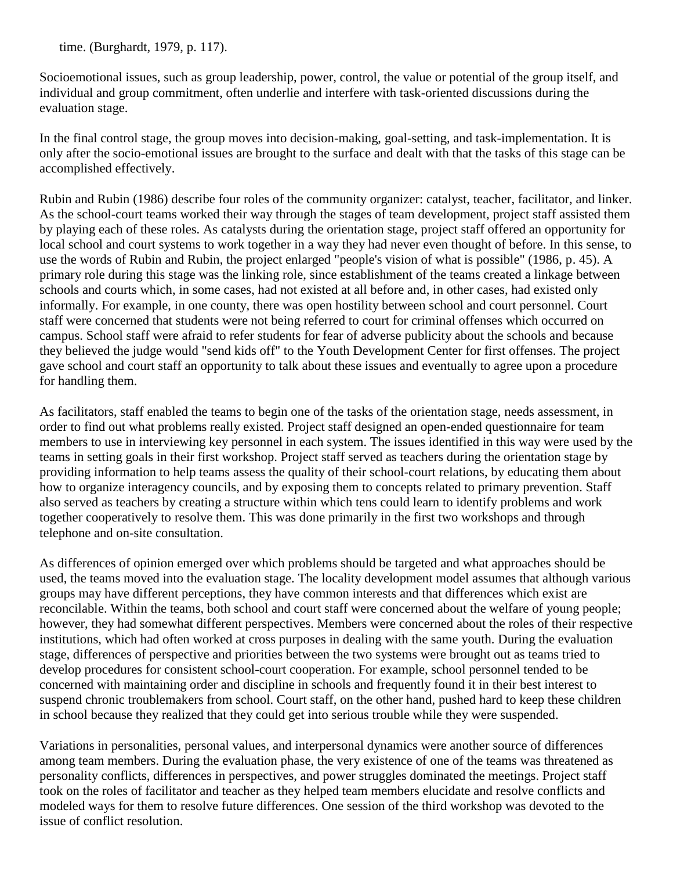time. (Burghardt, 1979, p. 117).

Socioemotional issues, such as group leadership, power, control, the value or potential of the group itself, and individual and group commitment, often underlie and interfere with task-oriented discussions during the evaluation stage.

In the final control stage, the group moves into decision-making, goal-setting, and task-implementation. It is only after the socio-emotional issues are brought to the surface and dealt with that the tasks of this stage can be accomplished effectively.

Rubin and Rubin (1986) describe four roles of the community organizer: catalyst, teacher, facilitator, and linker. As the school-court teams worked their way through the stages of team development, project staff assisted them by playing each of these roles. As catalysts during the orientation stage, project staff offered an opportunity for local school and court systems to work together in a way they had never even thought of before. In this sense, to use the words of Rubin and Rubin, the project enlarged "people's vision of what is possible" (1986, p. 45). A primary role during this stage was the linking role, since establishment of the teams created a linkage between schools and courts which, in some cases, had not existed at all before and, in other cases, had existed only informally. For example, in one county, there was open hostility between school and court personnel. Court staff were concerned that students were not being referred to court for criminal offenses which occurred on campus. School staff were afraid to refer students for fear of adverse publicity about the schools and because they believed the judge would "send kids off" to the Youth Development Center for first offenses. The project gave school and court staff an opportunity to talk about these issues and eventually to agree upon a procedure for handling them.

As facilitators, staff enabled the teams to begin one of the tasks of the orientation stage, needs assessment, in order to find out what problems really existed. Project staff designed an open-ended questionnaire for team members to use in interviewing key personnel in each system. The issues identified in this way were used by the teams in setting goals in their first workshop. Project staff served as teachers during the orientation stage by providing information to help teams assess the quality of their school-court relations, by educating them about how to organize interagency councils, and by exposing them to concepts related to primary prevention. Staff also served as teachers by creating a structure within which tens could learn to identify problems and work together cooperatively to resolve them. This was done primarily in the first two workshops and through telephone and on-site consultation.

As differences of opinion emerged over which problems should be targeted and what approaches should be used, the teams moved into the evaluation stage. The locality development model assumes that although various groups may have different perceptions, they have common interests and that differences which exist are reconcilable. Within the teams, both school and court staff were concerned about the welfare of young people; however, they had somewhat different perspectives. Members were concerned about the roles of their respective institutions, which had often worked at cross purposes in dealing with the same youth. During the evaluation stage, differences of perspective and priorities between the two systems were brought out as teams tried to develop procedures for consistent school-court cooperation. For example, school personnel tended to be concerned with maintaining order and discipline in schools and frequently found it in their best interest to suspend chronic troublemakers from school. Court staff, on the other hand, pushed hard to keep these children in school because they realized that they could get into serious trouble while they were suspended.

Variations in personalities, personal values, and interpersonal dynamics were another source of differences among team members. During the evaluation phase, the very existence of one of the teams was threatened as personality conflicts, differences in perspectives, and power struggles dominated the meetings. Project staff took on the roles of facilitator and teacher as they helped team members elucidate and resolve conflicts and modeled ways for them to resolve future differences. One session of the third workshop was devoted to the issue of conflict resolution.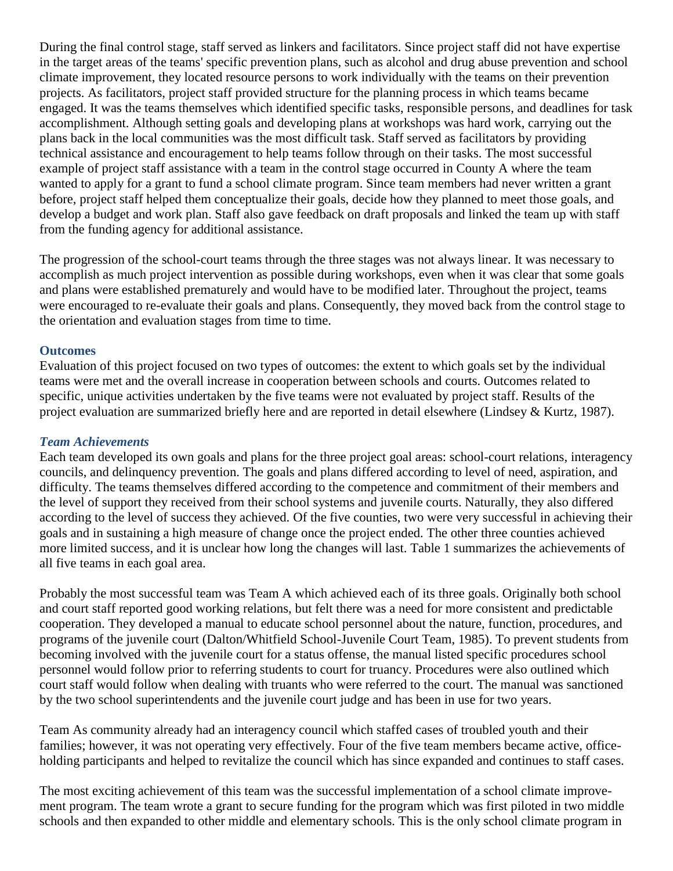During the final control stage, staff served as linkers and facilitators. Since project staff did not have expertise in the target areas of the teams' specific prevention plans, such as alcohol and drug abuse prevention and school climate improvement, they located resource persons to work individually with the teams on their prevention projects. As facilitators, project staff provided structure for the planning process in which teams became engaged. It was the teams themselves which identified specific tasks, responsible persons, and deadlines for task accomplishment. Although setting goals and developing plans at workshops was hard work, carrying out the plans back in the local communities was the most difficult task. Staff served as facilitators by providing technical assistance and encouragement to help teams follow through on their tasks. The most successful example of project staff assistance with a team in the control stage occurred in County A where the team wanted to apply for a grant to fund a school climate program. Since team members had never written a grant before, project staff helped them conceptualize their goals, decide how they planned to meet those goals, and develop a budget and work plan. Staff also gave feedback on draft proposals and linked the team up with staff from the funding agency for additional assistance.

The progression of the school-court teams through the three stages was not always linear. It was necessary to accomplish as much project intervention as possible during workshops, even when it was clear that some goals and plans were established prematurely and would have to be modified later. Throughout the project, teams were encouraged to re-evaluate their goals and plans. Consequently, they moved back from the control stage to the orientation and evaluation stages from time to time.

#### **Outcomes**

Evaluation of this project focused on two types of outcomes: the extent to which goals set by the individual teams were met and the overall increase in cooperation between schools and courts. Outcomes related to specific, unique activities undertaken by the five teams were not evaluated by project staff. Results of the project evaluation are summarized briefly here and are reported in detail elsewhere (Lindsey & Kurtz, 1987).

#### *Team Achievements*

Each team developed its own goals and plans for the three project goal areas: school-court relations, interagency councils, and delinquency prevention. The goals and plans differed according to level of need, aspiration, and difficulty. The teams themselves differed according to the competence and commitment of their members and the level of support they received from their school systems and juvenile courts. Naturally, they also differed according to the level of success they achieved. Of the five counties, two were very successful in achieving their goals and in sustaining a high measure of change once the project ended. The other three counties achieved more limited success, and it is unclear how long the changes will last. Table 1 summarizes the achievements of all five teams in each goal area.

Probably the most successful team was Team A which achieved each of its three goals. Originally both school and court staff reported good working relations, but felt there was a need for more consistent and predictable cooperation. They developed a manual to educate school personnel about the nature, function, procedures, and programs of the juvenile court (Dalton/Whitfield School-Juvenile Court Team, 1985). To prevent students from becoming involved with the juvenile court for a status offense, the manual listed specific procedures school personnel would follow prior to referring students to court for truancy. Procedures were also outlined which court staff would follow when dealing with truants who were referred to the court. The manual was sanctioned by the two school superintendents and the juvenile court judge and has been in use for two years.

Team As community already had an interagency council which staffed cases of troubled youth and their families; however, it was not operating very effectively. Four of the five team members became active, officeholding participants and helped to revitalize the council which has since expanded and continues to staff cases.

The most exciting achievement of this team was the successful implementation of a school climate improvement program. The team wrote a grant to secure funding for the program which was first piloted in two middle schools and then expanded to other middle and elementary schools. This is the only school climate program in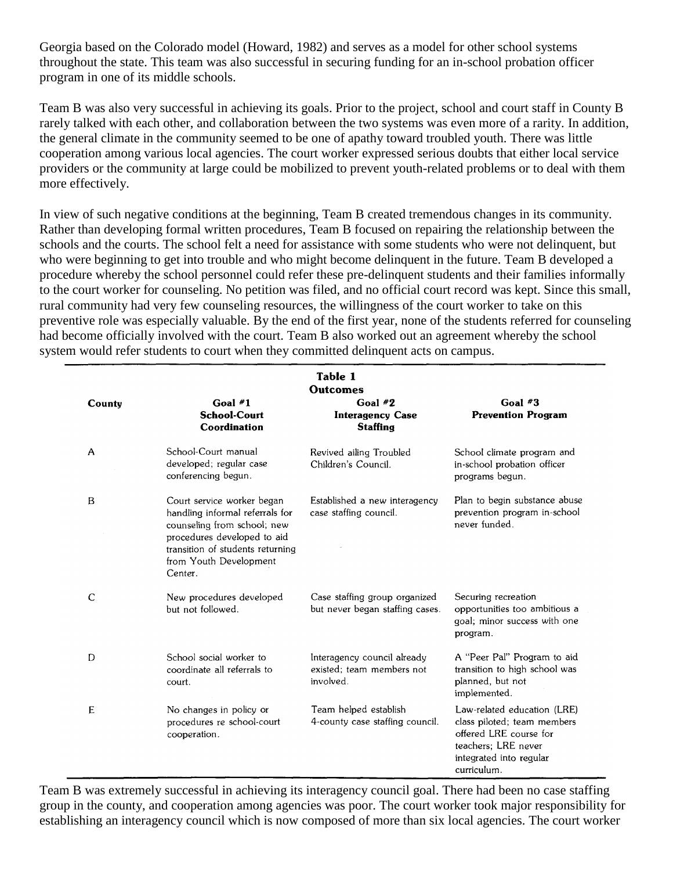Georgia based on the Colorado model (Howard, 1982) and serves as a model for other school systems throughout the state. This team was also successful in securing funding for an in-school probation officer program in one of its middle schools.

Team B was also very successful in achieving its goals. Prior to the project, school and court staff in County B rarely talked with each other, and collaboration between the two systems was even more of a rarity. In addition, the general climate in the community seemed to be one of apathy toward troubled youth. There was little cooperation among various local agencies. The court worker expressed serious doubts that either local service providers or the community at large could be mobilized to prevent youth-related problems or to deal with them more effectively.

In view of such negative conditions at the beginning, Team B created tremendous changes in its community. Rather than developing formal written procedures, Team B focused on repairing the relationship between the schools and the courts. The school felt a need for assistance with some students who were not delinquent, but who were beginning to get into trouble and who might become delinquent in the future. Team B developed a procedure whereby the school personnel could refer these pre-delinquent students and their families informally to the court worker for counseling. No petition was filed, and no official court record was kept. Since this small, rural community had very few counseling resources, the willingness of the court worker to take on this preventive role was especially valuable. By the end of the first year, none of the students referred for counseling had become officially involved with the court. Team B also worked out an agreement whereby the school system would refer students to court when they committed delinquent acts on campus.

| Table 1<br><b>Outcomes</b> |                                                                                                                                                                                                      |                                                                       |                                                                                                                                                       |
|----------------------------|------------------------------------------------------------------------------------------------------------------------------------------------------------------------------------------------------|-----------------------------------------------------------------------|-------------------------------------------------------------------------------------------------------------------------------------------------------|
| County                     | Goal $#1$<br><b>School-Court</b><br>Coordination                                                                                                                                                     | Goal $#2$<br><b>Interagency Case</b><br><b>Staffing</b>               | Goal $#3$<br><b>Prevention Program</b>                                                                                                                |
| A                          | School-Court manual<br>developed; regular case<br>conferencing begun.                                                                                                                                | Revived ailing Troubled<br>Children's Council.                        | School climate program and<br>in-school probation officer<br>programs begun.                                                                          |
| B                          | Court service worker began<br>handling informal referrals for<br>counseling from school; new<br>procedures developed to aid<br>transition of students returning<br>from Youth Development<br>Center. | Established a new interagency<br>case staffing council.               | Plan to begin substance abuse<br>prevention program in-school<br>never funded.                                                                        |
| C                          | New procedures developed<br>but not followed.                                                                                                                                                        | Case staffing group organized<br>but never began staffing cases.      | Securing recreation<br>opportunities too ambitious a<br>goal; minor success with one<br>program.                                                      |
| D                          | School social worker to<br>coordinate all referrals to<br>court.                                                                                                                                     | Interagency council already<br>existed: team members not<br>involved. | A "Peer Pal" Program to aid<br>transition to high school was<br>planned, but not<br>implemented.                                                      |
| E                          | No changes in policy or<br>procedures re school-court<br>cooperation.                                                                                                                                | Team helped establish<br>4-county case staffing council.              | Law-related education (LRE)<br>class piloted; team members<br>offered LRE course for<br>teachers; LRE never<br>integrated into regular<br>curriculum. |

Team B was extremely successful in achieving its interagency council goal. There had been no case staffing group in the county, and cooperation among agencies was poor. The court worker took major responsibility for establishing an interagency council which is now composed of more than six local agencies. The court worker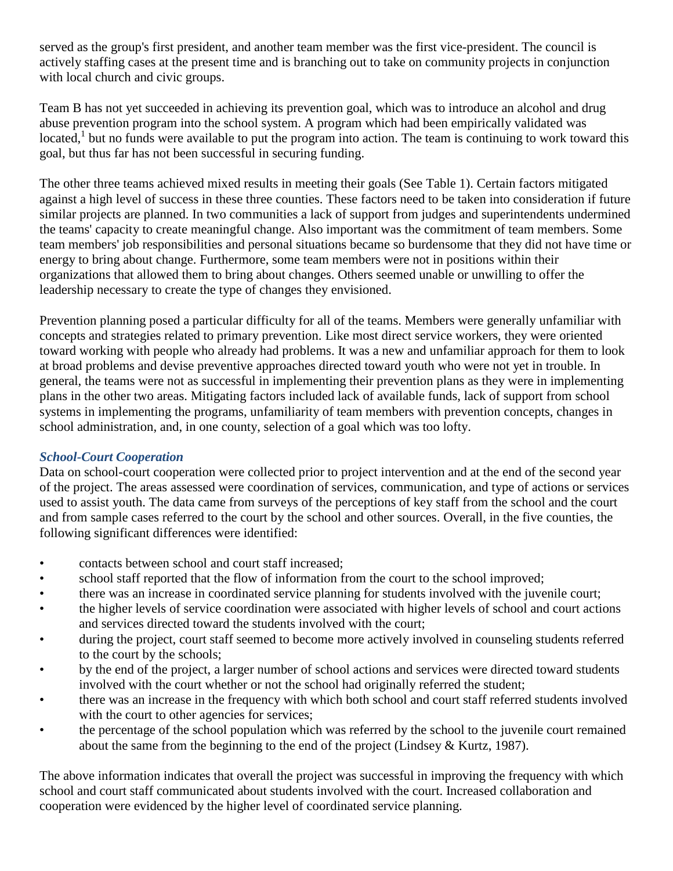served as the group's first president, and another team member was the first vice-president. The council is actively staffing cases at the present time and is branching out to take on community projects in conjunction with local church and civic groups.

Team B has not yet succeeded in achieving its prevention goal, which was to introduce an alcohol and drug abuse prevention program into the school system. A program which had been empirically validated was located,<sup>1</sup> but no funds were available to put the program into action. The team is continuing to work toward this goal, but thus far has not been successful in securing funding.

The other three teams achieved mixed results in meeting their goals (See Table 1). Certain factors mitigated against a high level of success in these three counties. These factors need to be taken into consideration if future similar projects are planned. In two communities a lack of support from judges and superintendents undermined the teams' capacity to create meaningful change. Also important was the commitment of team members. Some team members' job responsibilities and personal situations became so burdensome that they did not have time or energy to bring about change. Furthermore, some team members were not in positions within their organizations that allowed them to bring about changes. Others seemed unable or unwilling to offer the leadership necessary to create the type of changes they envisioned.

Prevention planning posed a particular difficulty for all of the teams. Members were generally unfamiliar with concepts and strategies related to primary prevention. Like most direct service workers, they were oriented toward working with people who already had problems. It was a new and unfamiliar approach for them to look at broad problems and devise preventive approaches directed toward youth who were not yet in trouble. In general, the teams were not as successful in implementing their prevention plans as they were in implementing plans in the other two areas. Mitigating factors included lack of available funds, lack of support from school systems in implementing the programs, unfamiliarity of team members with prevention concepts, changes in school administration, and, in one county, selection of a goal which was too lofty.

## *School-Court Cooperation*

Data on school-court cooperation were collected prior to project intervention and at the end of the second year of the project. The areas assessed were coordination of services, communication, and type of actions or services used to assist youth. The data came from surveys of the perceptions of key staff from the school and the court and from sample cases referred to the court by the school and other sources. Overall, in the five counties, the following significant differences were identified:

- contacts between school and court staff increased;
- school staff reported that the flow of information from the court to the school improved;
- there was an increase in coordinated service planning for students involved with the juvenile court;
- the higher levels of service coordination were associated with higher levels of school and court actions and services directed toward the students involved with the court;
- during the project, court staff seemed to become more actively involved in counseling students referred to the court by the schools;
- by the end of the project, a larger number of school actions and services were directed toward students involved with the court whether or not the school had originally referred the student;
- there was an increase in the frequency with which both school and court staff referred students involved with the court to other agencies for services;
- the percentage of the school population which was referred by the school to the juvenile court remained about the same from the beginning to the end of the project (Lindsey & Kurtz, 1987).

The above information indicates that overall the project was successful in improving the frequency with which school and court staff communicated about students involved with the court. Increased collaboration and cooperation were evidenced by the higher level of coordinated service planning.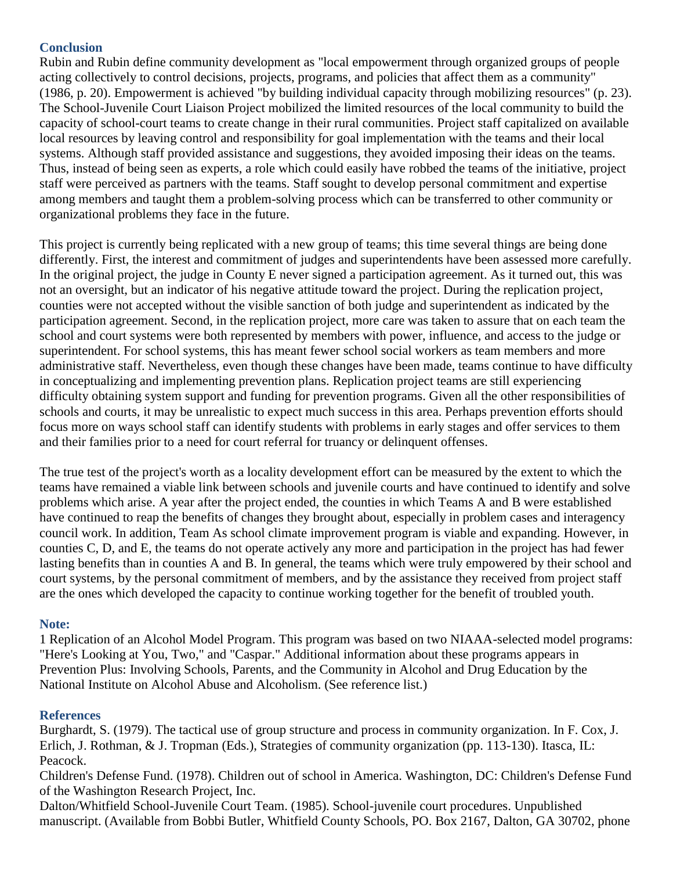# **Conclusion**

Rubin and Rubin define community development as "local empowerment through organized groups of people acting collectively to control decisions, projects, programs, and policies that affect them as a community" (1986, p. 20). Empowerment is achieved "by building individual capacity through mobilizing resources" (p. 23). The School-Juvenile Court Liaison Project mobilized the limited resources of the local community to build the capacity of school-court teams to create change in their rural communities. Project staff capitalized on available local resources by leaving control and responsibility for goal implementation with the teams and their local systems. Although staff provided assistance and suggestions, they avoided imposing their ideas on the teams. Thus, instead of being seen as experts, a role which could easily have robbed the teams of the initiative, project staff were perceived as partners with the teams. Staff sought to develop personal commitment and expertise among members and taught them a problem-solving process which can be transferred to other community or organizational problems they face in the future.

This project is currently being replicated with a new group of teams; this time several things are being done differently. First, the interest and commitment of judges and superintendents have been assessed more carefully. In the original project, the judge in County E never signed a participation agreement. As it turned out, this was not an oversight, but an indicator of his negative attitude toward the project. During the replication project, counties were not accepted without the visible sanction of both judge and superintendent as indicated by the participation agreement. Second, in the replication project, more care was taken to assure that on each team the school and court systems were both represented by members with power, influence, and access to the judge or superintendent. For school systems, this has meant fewer school social workers as team members and more administrative staff. Nevertheless, even though these changes have been made, teams continue to have difficulty in conceptualizing and implementing prevention plans. Replication project teams are still experiencing difficulty obtaining system support and funding for prevention programs. Given all the other responsibilities of schools and courts, it may be unrealistic to expect much success in this area. Perhaps prevention efforts should focus more on ways school staff can identify students with problems in early stages and offer services to them and their families prior to a need for court referral for truancy or delinquent offenses.

The true test of the project's worth as a locality development effort can be measured by the extent to which the teams have remained a viable link between schools and juvenile courts and have continued to identify and solve problems which arise. A year after the project ended, the counties in which Teams A and B were established have continued to reap the benefits of changes they brought about, especially in problem cases and interagency council work. In addition, Team As school climate improvement program is viable and expanding. However, in counties C, D, and E, the teams do not operate actively any more and participation in the project has had fewer lasting benefits than in counties A and B. In general, the teams which were truly empowered by their school and court systems, by the personal commitment of members, and by the assistance they received from project staff are the ones which developed the capacity to continue working together for the benefit of troubled youth.

## **Note:**

1 Replication of an Alcohol Model Program. This program was based on two NIAAA-selected model programs: "Here's Looking at You, Two," and "Caspar." Additional information about these programs appears in Prevention Plus: Involving Schools, Parents, and the Community in Alcohol and Drug Education by the National Institute on Alcohol Abuse and Alcoholism. (See reference list.)

## **References**

Burghardt, S. (1979). The tactical use of group structure and process in community organization. In F. Cox, J. Erlich, J. Rothman, & J. Tropman (Eds.), Strategies of community organization (pp. 113-130). Itasca, IL: Peacock.

Children's Defense Fund. (1978). Children out of school in America. Washington, DC: Children's Defense Fund of the Washington Research Project, Inc.

Dalton/Whitfield School-Juvenile Court Team. (1985). School-juvenile court procedures. Unpublished manuscript. (Available from Bobbi Butler, Whitfield County Schools, PO. Box 2167, Dalton, GA 30702, phone